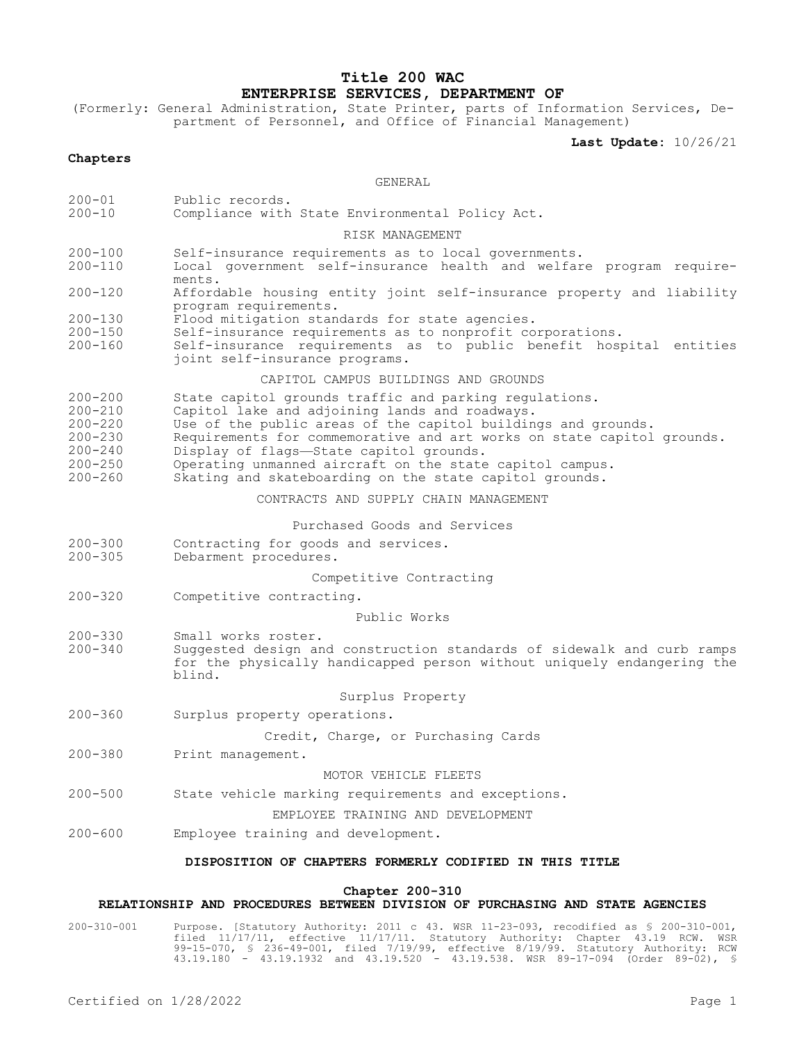# **Title 200 WAC ENTERPRISE SERVICES, DEPARTMENT OF**

(Formerly: General Administration, State Printer, parts of Information Services, Department of Personnel, and Office of Financial Management)

**Last Update:** 10/26/21

### **Chapters**

#### GENERAL

- 200-01 Public records.<br>200-10 Compliance with
- Compliance with State Environmental Policy Act.

#### RISK MANAGEMENT

- 200-100 Self-insurance requirements as to local governments.<br>200-110 Local government self-insurance health and welfar
- Local government self-insurance health and welfare program requirements.
- 200-120 Affordable housing entity joint self-insurance property and liability program requirements.
- 200-130 Flood mitigation standards for state agencies.
- 200-150 Self-insurance requirements as to nonprofit corporations.
- Self-insurance requirements as to public benefit hospital entities joint self-insurance programs.

#### CAPITOL CAMPUS BUILDINGS AND GROUNDS

200-200 State capitol grounds traffic and parking regulations.<br>200-210 Capitol lake and adjoining lands and roadways.

- 200-210 Capitol lake and adjoining lands and roadways.
- 200-220 Use of the public areas of the capitol buildings and grounds.
- 200-230 Requirements for commemorative and art works on state capitol grounds.<br>200-240 Display of flags—State capitol grounds.
- 200-240 Display of flags—State capitol grounds.
- 200-250 Operating unmanned aircraft on the state capitol campus.
	- Skating and skateboarding on the state capitol grounds.

CONTRACTS AND SUPPLY CHAIN MANAGEMENT

### Purchased Goods and Services

- 200-300 Contracting for goods and services.<br>200-305 Debarment procedures.
- Debarment procedures.

### Competitive Contracting

200-320 Competitive contracting.

#### Public Works

- 200-330 Small works roster.
- Suggested design and construction standards of sidewalk and curb ramps for the physically handicapped person without uniquely endangering the blind.

### Surplus Property

200-360 Surplus property operations.

Credit, Charge, or Purchasing Cards

200-380 Print management.

### MOTOR VEHICLE FLEETS

200-500 State vehicle marking requirements and exceptions.

### EMPLOYEE TRAINING AND DEVELOPMENT

200-600 Employee training and development.

#### **DISPOSITION OF CHAPTERS FORMERLY CODIFIED IN THIS TITLE**

### **Chapter 200-310**

# **RELATIONSHIP AND PROCEDURES BETWEEN DIVISION OF PURCHASING AND STATE AGENCIES**

200-310-001 Purpose. [Statutory Authority: 2011 c 43. WSR 11-23-093, recodified as § 200-310-001, filed 11/17/11, effective 11/17/11. Statutory Authority: Chapter 43.19 RCW. WSR 99-15-070, § 236-49-001, filed 7/19/99, effective 8/19/99. Statutory Authority: RCW 43.19.180 - 43.19.1932 and 43.19.520 - 43.19.538. WSR 89-17-094 (Order 89-02), §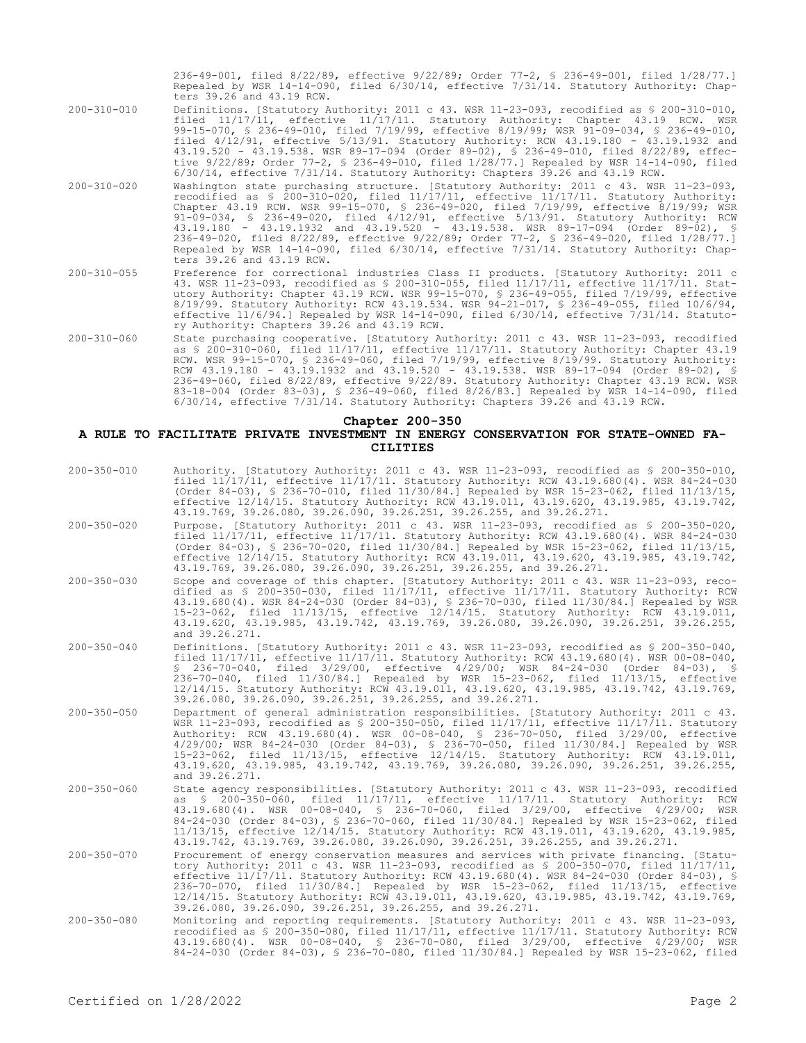236-49-001, filed 8/22/89, effective 9/22/89; Order 77-2, § 236-49-001, filed 1/28/77.] Repealed by WSR 14-14-090, filed 6/30/14, effective 7/31/14. Statutory Authority: Chapters 39.26 and 43.19 RCW.

- 200-310-010 Definitions. [Statutory Authority: 2011 c 43. WSR 11-23-093, recodified as § 200-310-010, filed 11/17/11, effective 11/17/11. Statutory Authority: Chapter 43.19 RCW. WSR 99-15-070, § 236-49-010, filed 7/19/99, effective 8/19/99; WSR 91-09-034, § 236-49-010, filed 4/12/91, effective 5/13/91. Statutory Authority: RCW 43.19.180 - 43.19.1932 and 43.19.520 - 43.19.538. WSR 89-17-094 (Order 89-02), § 236-49-010, filed 8/22/89, effective 9/22/89; Order 77-2, § 236-49-010, filed 1/28/77.] Repealed by WSR 14-14-090, filed 6/30/14, effective 7/31/14. Statutory Authority: Chapters 39.26 and 43.19 RCW.
- 200-310-020 Washington state purchasing structure. [Statutory Authority: 2011 c 43. WSR 11-23-093, recodified as § 200-310-020, filed 11/17/11, effective 11/17/11. Statutory Authority: Chapter 43.19 RCW. WSR 99-15-070, § 236-49-020, filed 7/19/99, effective 8/19/99; WSR 91-09-034, § 236-49-020, filed 4/12/91, effective 5/13/91. Statutory Authority: RCW 43.19.180 - 43.19.1932 and 43.19.520 - 43.19.538. WSR 89-17-094 (Order 89-02), § 236-49-020, filed 8/22/89, effective 9/22/89; Order 77-2, § 236-49-020, filed 1/28/77.] Repealed by WSR 14-14-090, filed 6/30/14, effective 7/31/14. Statutory Authority: Chapters 39.26 and 43.19 RCW.
- 200-310-055 Preference for correctional industries Class II products. [Statutory Authority: 2011 c 43. WSR 11-23-093, recodified as § 200-310-055, filed 11/17/11, effective 11/17/11. Statutory Authority: Chapter 43.19 RCW. WSR 99-15-070, § 236-49-055, filed 7/19/99, effective 8/19/99. Statutory Authority: RCW 43.19.534. WSR 94-21-017, § 236-49-055, filed 10/6/94, effective 11/6/94.] Repealed by WSR 14-14-090, filed 6/30/14, effective 7/31/14. Statutory Authority: Chapters 39.26 and 43.19 RCW.
- 200-310-060 State purchasing cooperative. [Statutory Authority: 2011 c 43. WSR 11-23-093, recodified as § 200-310-060, filed 11/17/11, effective 11/17/11. Statutory Authority: Chapter 43.19 RCW. WSR 99-15-070, § 236-49-060, filed 7/19/99, effective 8/19/99. Statutory Authority: RCW 43.19.180 - 43.19.1932 and 43.19.520 - 43.19.538. WSR 89-17-094 (Order 89-02), § 236-49-060, filed 8/22/89, effective 9/22/89. Statutory Authority: Chapter 43.19 RCW. WSR 83-18-004 (Order 83-03), § 236-49-060, filed 8/26/83.] Repealed by WSR 14-14-090, filed 6/30/14, effective 7/31/14. Statutory Authority: Chapters 39.26 and 43.19 RCW.

## **Chapter 200-350**

#### **A RULE TO FACILITATE PRIVATE INVESTMENT IN ENERGY CONSERVATION FOR STATE-OWNED FA-CILITIES**

| $200 - 350 - 010$ | Authority. [Statutory Authority: 2011 c 43. WSR 11-23-093, recodified as § 200-350-010,<br>filed 11/17/11, effective 11/17/11. Statutory Authority: RCW 43.19.680(4). WSR 84-24-030<br>(Order 84-03), § 236-70-010, filed 11/30/84.] Repealed by WSR 15-23-062, filed 11/13/15,<br>effective 12/14/15. Statutory Authority: RCW 43.19.011, 43.19.620, 43.19.985, 43.19.742,<br>43.19.769, 39.26.080, 39.26.090, 39.26.251, 39.26.255, and 39.26.271.                                                                                                                          |
|-------------------|-------------------------------------------------------------------------------------------------------------------------------------------------------------------------------------------------------------------------------------------------------------------------------------------------------------------------------------------------------------------------------------------------------------------------------------------------------------------------------------------------------------------------------------------------------------------------------|
| $200 - 350 - 020$ | Purpose. [Statutory Authority: 2011 c 43. WSR 11-23-093, recodified as \$ 200-350-020,<br>filed 11/17/11, effective 11/17/11. Statutory Authority: RCW 43.19.680(4). WSR 84-24-030<br>(Order 84-03), § 236-70-020, filed $11/30/84$ . Repealed by WSR 15-23-062, filed $11/13/15$ ,<br>effective 12/14/15. Statutory Authority: RCW 43.19.011, 43.19.620, 43.19.985, 43.19.742,<br>43.19.769, 39.26.080, 39.26.090, 39.26.251, 39.26.255, and 39.26.271.                                                                                                                      |
| $200 - 350 - 030$ | Scope and coverage of this chapter. [Statutory Authority: 2011 c 43. WSR 11-23-093, reco-<br>dified as \$ 200-350-030, filed 11/17/11, effective 11/17/11. Statutory Authority: RCW<br>43.19.680(4). WSR 84-24-030 (Order 84-03), § 236-70-030, filed 11/30/84.] Repealed by WSR<br>15-23-062, filed 11/13/15, effective 12/14/15. Statutory Authority: RCW 43.19.011,<br>43.19.620, 43.19.985, 43.19.742, 43.19.769, 39.26.080, 39.26.090, 39.26.251, 39.26.255,<br>and 39.26.271.                                                                                           |
| $200 - 350 - 040$ | Definitions. [Statutory Authority: 2011 c 43. WSR 11-23-093, recodified as § 200-350-040,<br>filed $11/17/11$ , effective $11/17/11$ . Statutory Authority: RCW 43.19.680(4). WSR 00-08-040,<br>$$236-70-040$ , filed $3/29/00$ , effective $4/29/00$ ; WSR $84-24-030$ (Order $84-03$ ), §<br>236-70-040, filed 11/30/84.] Repealed by WSR 15-23-062, filed 11/13/15, effective<br>12/14/15. Statutory Authority: RCW 43.19.011, 43.19.620, 43.19.985, 43.19.742, 43.19.769,<br>39.26.080, 39.26.090, 39.26.251, 39.26.255, and 39.26.271.                                   |
| $200 - 350 - 050$ | Department of general administration responsibilities. [Statutory Authority: 2011 c 43.<br>WSR 11-23-093, recodified as $$200-350-050$ , filed $11/17/11$ , effective $11/17/11$ . Statutory<br>Authority: RCW 43.19.680(4). WSR 00-08-040, § 236-70-050, filed 3/29/00, effective<br>4/29/00; WSR 84-24-030 (Order 84-03), § 236-70-050, filed 11/30/84.] Repealed by WSR<br>15-23-062, filed 11/13/15, effective 12/14/15. Statutory Authority: RCW 43.19.011,<br>43.19.620, 43.19.985, 43.19.742, 43.19.769, 39.26.080, 39.26.090, 39.26.251, 39.26.255,<br>and 39.26.271. |
| $200 - 350 - 060$ | State agency responsibilities. [Statutory Authority: 2011 c 43. WSR 11-23-093, recodified<br>as $\S$ 200-350-060, filed $11/17/11$ , effective $11/17/11$ . Statutory Authority:<br>RCW<br>43.19.680(4). WSR 00-08-040, § 236-70-060, filed 3/29/00, effective 4/29/00; WSR<br>84-24-030 (Order 84-03), § 236-70-060, filed 11/30/84.] Repealed by WSR 15-23-062, filed<br>11/13/15, effective 12/14/15. Statutory Authority: RCW 43.19.011, 43.19.620, 43.19.985,<br>43.19.742, 43.19.769, 39.26.080, 39.26.090, 39.26.251, 39.26.255, and 39.26.271.                        |
| $200 - 350 - 070$ | Procurement of energy conservation measures and services with private financing. [Statu-<br>tory Authority: 2011 c 43. WSR 11-23-093, recodified as $$$ 200-350-070, filed 11/17/11,<br>effective 11/17/11. Statutory Authority: RCW 43.19.680(4). WSR 84-24-030 (Order 84-03), §<br>236-70-070, filed 11/30/84.1 Repealed by WSR 15-23-062, filed 11/13/15, effective<br>12/14/15. Statutory Authority: RCW 43.19.011, 43.19.620, 43.19.985, 43.19.742, 43.19.769,<br>39.26.080, 39.26.090, 39.26.251, 39.26.255, and 39.26.271.                                             |
| $200 - 350 - 080$ | Monitoring and reporting requirements. [Statutory Authority: 2011 c 43. WSR 11-23-093,<br>recodified as § 200-350-080, filed 11/17/11, effective 11/17/11. Statutory Authority: RCW<br>43.19.680(4). WSR 00-08-040, § 236-70-080, filed 3/29/00, effective 4/29/00;<br>WSR<br>84-24-030 (Order 84-03), § 236-70-080, filed 11/30/84.] Repealed by WSR 15-23-062, filed                                                                                                                                                                                                        |